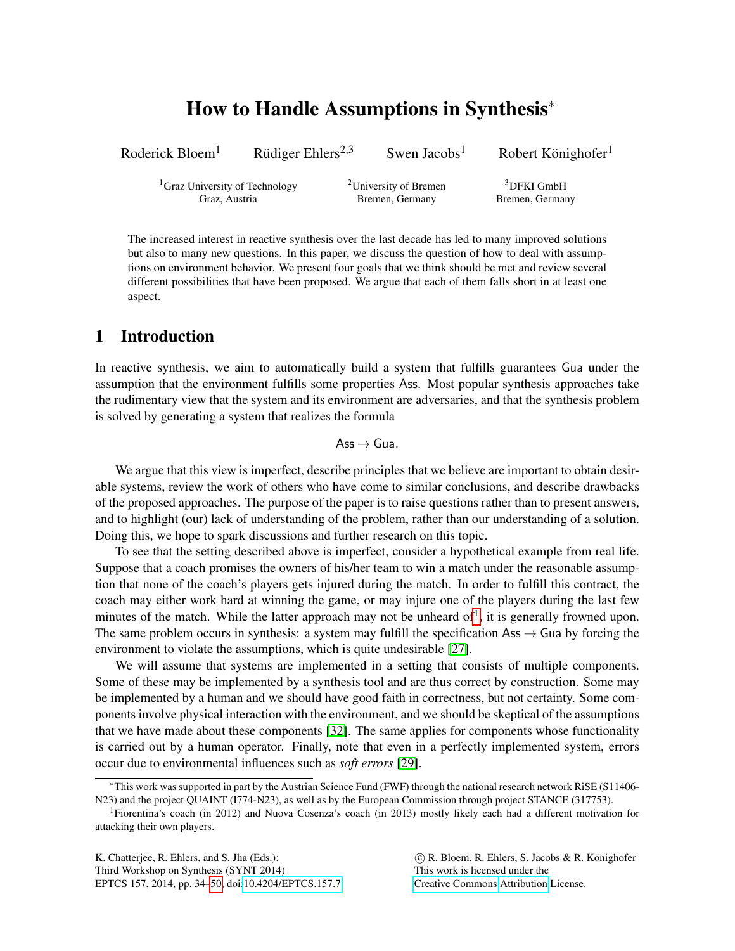# How to Handle Assumptions in Synthesis<sup>∗</sup>

Roderick Bloem<sup>1</sup> Rüdiger Ehlers<sup>2,3</sup>

<sup>2,3</sup> Swen Jacobs<sup>1</sup> Robert Könighofer<sup>1</sup>

 ${}^{1}$ Graz University of Technology  ${}^{2}$ University of Bremen  ${}^{3}$ DFKI GmbH

Graz, Austria Bremen, Germany Bremen, Germany

The increased interest in reactive synthesis over the last decade has led to many improved solutions but also to many new questions. In this paper, we discuss the question of how to deal with assumptions on environment behavior. We present four goals that we think should be met and review several different possibilities that have been proposed. We argue that each of them falls short in at least one aspect.

# 1 Introduction

In reactive synthesis, we aim to automatically build a system that fulfills guarantees Gua under the assumption that the environment fulfills some properties Ass. Most popular synthesis approaches take the rudimentary view that the system and its environment are adversaries, and that the synthesis problem is solved by generating a system that realizes the formula

 $\mathsf{Ass} \to \mathsf{Gua}.$ 

We argue that this view is imperfect, describe principles that we believe are important to obtain desirable systems, review the work of others who have come to similar conclusions, and describe drawbacks of the proposed approaches. The purpose of the paper is to raise questions rather than to present answers, and to highlight (our) lack of understanding of the problem, rather than our understanding of a solution. Doing this, we hope to spark discussions and further research on this topic.

To see that the setting described above is imperfect, consider a hypothetical example from real life. Suppose that a coach promises the owners of his/her team to win a match under the reasonable assumption that none of the coach's players gets injured during the match. In order to fulfill this contract, the coach may either work hard at winning the game, or may injure one of the players during the last few minutes of the match. While the latter approach may not be unheard of<sup>[1](#page-0-0)</sup>, it is generally frowned upon. The same problem occurs in synthesis: a system may fulfill the specification Ass  $\rightarrow$  Gua by forcing the environment to violate the assumptions, which is quite undesirable [\[27\]](#page-16-1).

We will assume that systems are implemented in a setting that consists of multiple components. Some of these may be implemented by a synthesis tool and are thus correct by construction. Some may be implemented by a human and we should have good faith in correctness, but not certainty. Some components involve physical interaction with the environment, and we should be skeptical of the assumptions that we have made about these components [\[32\]](#page-16-2). The same applies for components whose functionality is carried out by a human operator. Finally, note that even in a perfectly implemented system, errors occur due to environmental influences such as *soft errors* [\[29\]](#page-16-3).

K. Chatterjee, R. Ehlers, and S. Jha (Eds.): Third Workshop on Synthesis (SYNT 2014) EPTCS 157, 2014, pp. 34[–50,](#page-16-0) doi[:10.4204/EPTCS.157.7](http://dx.doi.org/10.4204/EPTCS.157.7)

 c R. Bloem, R. Ehlers, S. Jacobs & R. Konighofer ¨ This work is licensed under the [Creative Commons](http://creativecommons.org) [Attribution](http://creativecommons.org/licenses/by/3.0/) License.

<sup>∗</sup>This work was supported in part by the Austrian Science Fund (FWF) through the national research network RiSE (S11406- N23) and the project QUAINT (I774-N23), as well as by the European Commission through project STANCE (317753).

<span id="page-0-0"></span><sup>1</sup>Fiorentina's coach (in 2012) and Nuova Cosenza's coach (in 2013) mostly likely each had a different motivation for attacking their own players.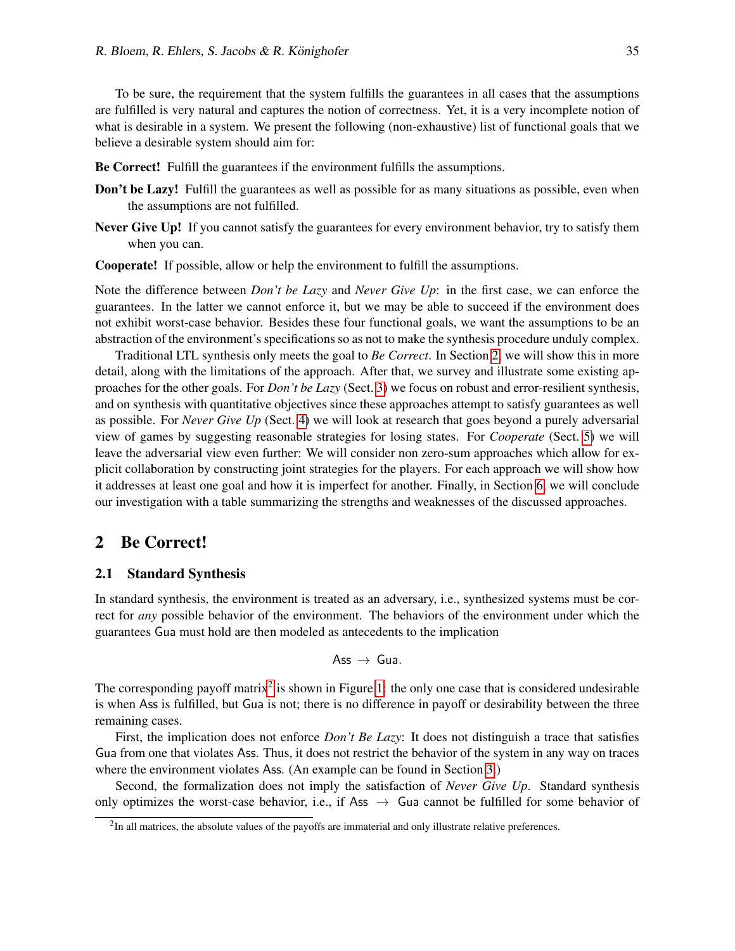To be sure, the requirement that the system fulfills the guarantees in all cases that the assumptions are fulfilled is very natural and captures the notion of correctness. Yet, it is a very incomplete notion of what is desirable in a system. We present the following (non-exhaustive) list of functional goals that we believe a desirable system should aim for:

Be Correct! Fulfill the guarantees if the environment fulfills the assumptions.

- **Don't be Lazy!** Fulfill the guarantees as well as possible for as many situations as possible, even when the assumptions are not fulfilled.
- Never Give Up! If you cannot satisfy the guarantees for every environment behavior, try to satisfy them when you can.

Cooperate! If possible, allow or help the environment to fulfill the assumptions.

Note the difference between *Don't be Lazy* and *Never Give Up*: in the first case, we can enforce the guarantees. In the latter we cannot enforce it, but we may be able to succeed if the environment does not exhibit worst-case behavior. Besides these four functional goals, we want the assumptions to be an abstraction of the environment's specifications so as not to make the synthesis procedure unduly complex.

Traditional LTL synthesis only meets the goal to *Be Correct*. In Section [2,](#page-1-0) we will show this in more detail, along with the limitations of the approach. After that, we survey and illustrate some existing approaches for the other goals. For *Don't be Lazy* (Sect. [3\)](#page-2-0) we focus on robust and error-resilient synthesis, and on synthesis with quantitative objectives since these approaches attempt to satisfy guarantees as well as possible. For *Never Give Up* (Sect. [4\)](#page-7-0) we will look at research that goes beyond a purely adversarial view of games by suggesting reasonable strategies for losing states. For *Cooperate* (Sect. [5\)](#page-10-0) we will leave the adversarial view even further: We will consider non zero-sum approaches which allow for explicit collaboration by constructing joint strategies for the players. For each approach we will show how it addresses at least one goal and how it is imperfect for another. Finally, in Section [6,](#page-13-0) we will conclude our investigation with a table summarizing the strengths and weaknesses of the discussed approaches.

# <span id="page-1-0"></span>2 Be Correct!

#### <span id="page-1-2"></span>2.1 Standard Synthesis

In standard synthesis, the environment is treated as an adversary, i.e., synthesized systems must be correct for *any* possible behavior of the environment. The behaviors of the environment under which the guarantees Gua must hold are then modeled as antecedents to the implication

$$
\mathsf{Ass}\, \to\, \mathsf{Gua}.
$$

The corresponding payoff matrix<sup>[2](#page-1-1)</sup> is shown in Figure [1:](#page-2-1) the only one case that is considered undesirable is when Ass is fulfilled, but Gua is not; there is no difference in payoff or desirability between the three remaining cases.

First, the implication does not enforce *Don't Be Lazy*: It does not distinguish a trace that satisfies Gua from one that violates Ass. Thus, it does not restrict the behavior of the system in any way on traces where the environment violates Ass. (An example can be found in Section [3.](#page-2-0))

Second, the formalization does not imply the satisfaction of *Never Give Up*. Standard synthesis only optimizes the worst-case behavior, i.e., if Ass  $\rightarrow$  Gua cannot be fulfilled for some behavior of

<span id="page-1-1"></span> $2$ In all matrices, the absolute values of the payoffs are immaterial and only illustrate relative preferences.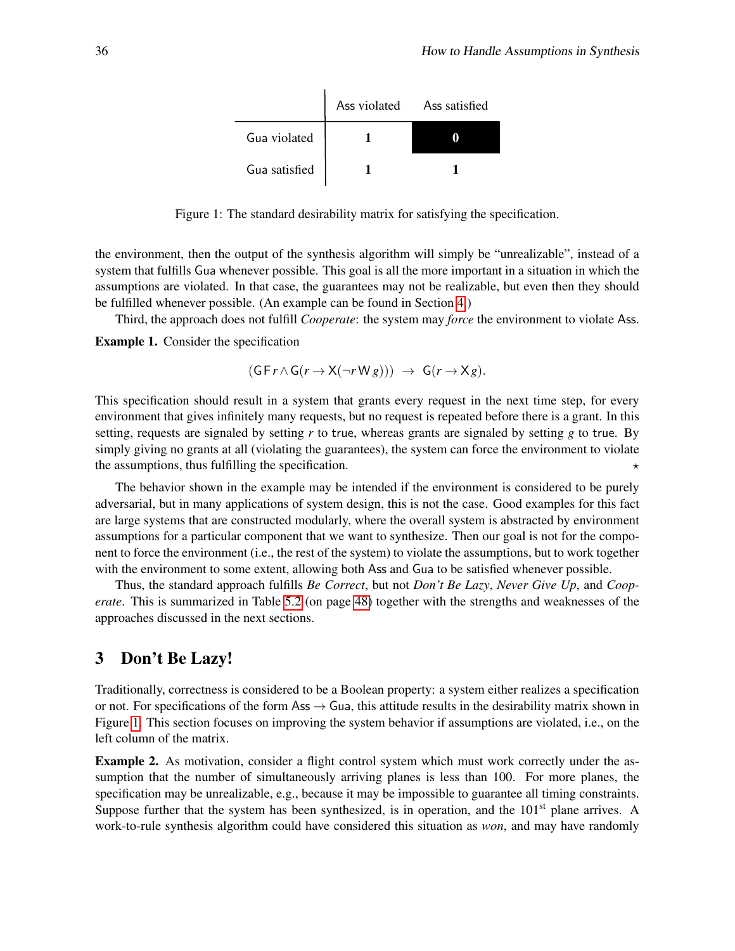|               | Ass violated Ass satisfied |  |
|---------------|----------------------------|--|
| Gua violated  |                            |  |
| Gua satisfied |                            |  |

<span id="page-2-1"></span>Figure 1: The standard desirability matrix for satisfying the specification.

the environment, then the output of the synthesis algorithm will simply be "unrealizable", instead of a system that fulfills Gua whenever possible. This goal is all the more important in a situation in which the assumptions are violated. In that case, the guarantees may not be realizable, but even then they should be fulfilled whenever possible. (An example can be found in Section [4.](#page-7-0))

Third, the approach does not fulfill *Cooperate*: the system may *force* the environment to violate Ass.

<span id="page-2-2"></span>Example 1. Consider the specification

$$
(\mathsf{G}\,\mathsf{F}\,r\wedge\mathsf{G}\,(r\rightarrow\mathsf{X}(\neg r\,\mathsf{W}\,g)))\,\,\rightarrow\,\,\mathsf{G}\,(r\rightarrow\mathsf{X}\,g).
$$

This specification should result in a system that grants every request in the next time step, for every environment that gives infinitely many requests, but no request is repeated before there is a grant. In this setting, requests are signaled by setting *r* to true, whereas grants are signaled by setting *g* to true. By simply giving no grants at all (violating the guarantees), the system can force the environment to violate the assumptions, thus fulfilling the specification.  $\star$ 

The behavior shown in the example may be intended if the environment is considered to be purely adversarial, but in many applications of system design, this is not the case. Good examples for this fact are large systems that are constructed modularly, where the overall system is abstracted by environment assumptions for a particular component that we want to synthesize. Then our goal is not for the component to force the environment (i.e., the rest of the system) to violate the assumptions, but to work together with the environment to some extent, allowing both Ass and Gua to be satisfied whenever possible.

Thus, the standard approach fulfills *Be Correct*, but not *Don't Be Lazy*, *Never Give Up*, and *Cooperate*. This is summarized in Table [5.2](#page-13-1) (on page [48\)](#page-13-1) together with the strengths and weaknesses of the approaches discussed in the next sections.

# <span id="page-2-0"></span>3 Don't Be Lazy!

Traditionally, correctness is considered to be a Boolean property: a system either realizes a specification or not. For specifications of the form Ass  $\rightarrow$  Gua, this attitude results in the desirability matrix shown in Figure [1.](#page-2-1) This section focuses on improving the system behavior if assumptions are violated, i.e., on the left column of the matrix.

<span id="page-2-3"></span>Example 2. As motivation, consider a flight control system which must work correctly under the assumption that the number of simultaneously arriving planes is less than 100. For more planes, the specification may be unrealizable, e.g., because it may be impossible to guarantee all timing constraints. Suppose further that the system has been synthesized, is in operation, and the  $101<sup>st</sup>$  plane arrives. A work-to-rule synthesis algorithm could have considered this situation as *won*, and may have randomly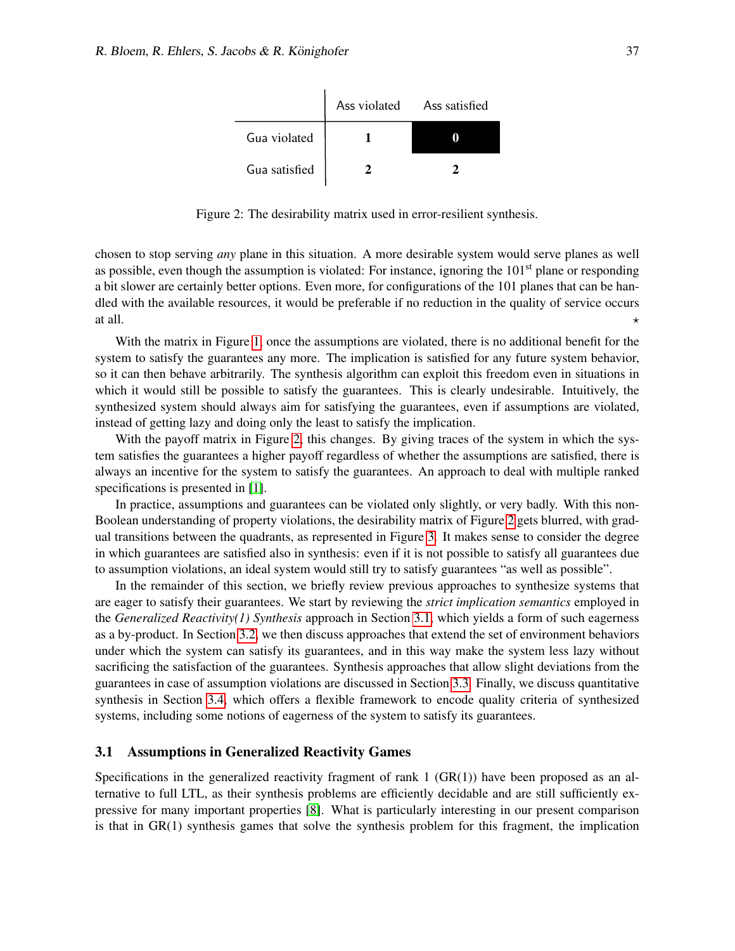|               | Ass violated Ass satisfied |  |
|---------------|----------------------------|--|
| Gua violated  |                            |  |
| Gua satisfied |                            |  |

<span id="page-3-0"></span>Figure 2: The desirability matrix used in error-resilient synthesis.

chosen to stop serving *any* plane in this situation. A more desirable system would serve planes as well as possible, even though the assumption is violated: For instance, ignoring the  $101<sup>st</sup>$  plane or responding a bit slower are certainly better options. Even more, for configurations of the 101 planes that can be handled with the available resources, it would be preferable if no reduction in the quality of service occurs at all.

With the matrix in Figure [1,](#page-2-1) once the assumptions are violated, there is no additional benefit for the system to satisfy the guarantees any more. The implication is satisfied for any future system behavior, so it can then behave arbitrarily. The synthesis algorithm can exploit this freedom even in situations in which it would still be possible to satisfy the guarantees. This is clearly undesirable. Intuitively, the synthesized system should always aim for satisfying the guarantees, even if assumptions are violated, instead of getting lazy and doing only the least to satisfy the implication.

With the payoff matrix in Figure [2,](#page-3-0) this changes. By giving traces of the system in which the system satisfies the guarantees a higher payoff regardless of whether the assumptions are satisfied, there is always an incentive for the system to satisfy the guarantees. An approach to deal with multiple ranked specifications is presented in [\[1\]](#page-14-0).

In practice, assumptions and guarantees can be violated only slightly, or very badly. With this non-Boolean understanding of property violations, the desirability matrix of Figure [2](#page-3-0) gets blurred, with gradual transitions between the quadrants, as represented in Figure [3.](#page-4-0) It makes sense to consider the degree in which guarantees are satisfied also in synthesis: even if it is not possible to satisfy all guarantees due to assumption violations, an ideal system would still try to satisfy guarantees "as well as possible".

In the remainder of this section, we briefly review previous approaches to synthesize systems that are eager to satisfy their guarantees. We start by reviewing the *strict implication semantics* employed in the *Generalized Reactivity(1) Synthesis* approach in Section [3.1,](#page-3-1) which yields a form of such eagerness as a by-product. In Section [3.2,](#page-5-0) we then discuss approaches that extend the set of environment behaviors under which the system can satisfy its guarantees, and in this way make the system less lazy without sacrificing the satisfaction of the guarantees. Synthesis approaches that allow slight deviations from the guarantees in case of assumption violations are discussed in Section [3.3.](#page-5-1) Finally, we discuss quantitative synthesis in Section [3.4,](#page-6-0) which offers a flexible framework to encode quality criteria of synthesized systems, including some notions of eagerness of the system to satisfy its guarantees.

### <span id="page-3-1"></span>3.1 Assumptions in Generalized Reactivity Games

Specifications in the generalized reactivity fragment of rank  $1$  (GR(1)) have been proposed as an alternative to full LTL, as their synthesis problems are efficiently decidable and are still sufficiently expressive for many important properties [\[8\]](#page-15-0). What is particularly interesting in our present comparison is that in GR(1) synthesis games that solve the synthesis problem for this fragment, the implication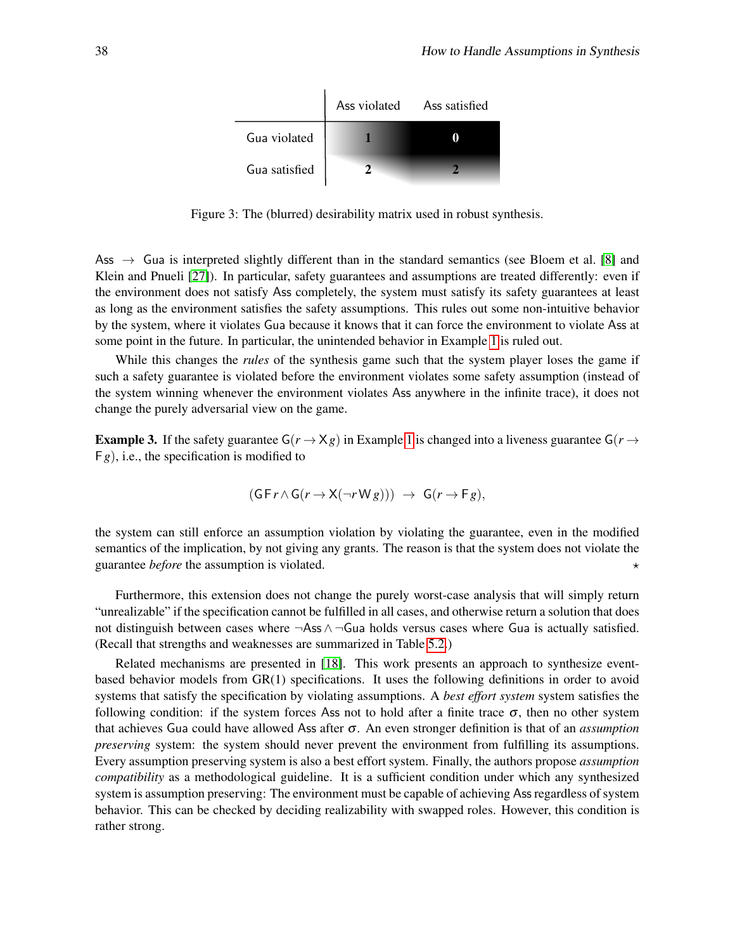|               | Ass violated Ass satisfied |
|---------------|----------------------------|
| Gua violated  |                            |
| Gua satisfied |                            |

<span id="page-4-0"></span>Figure 3: The (blurred) desirability matrix used in robust synthesis.

Ass  $\rightarrow$  Gua is interpreted slightly different than in the standard semantics (see Bloem et al. [\[8\]](#page-15-0) and Klein and Pnueli [\[27\]](#page-16-1)). In particular, safety guarantees and assumptions are treated differently: even if the environment does not satisfy Ass completely, the system must satisfy its safety guarantees at least as long as the environment satisfies the safety assumptions. This rules out some non-intuitive behavior by the system, where it violates Gua because it knows that it can force the environment to violate Ass at some point in the future. In particular, the unintended behavior in Example [1](#page-2-2) is ruled out.

While this changes the *rules* of the synthesis game such that the system player loses the game if such a safety guarantee is violated before the environment violates some safety assumption (instead of the system winning whenever the environment violates Ass anywhere in the infinite trace), it does not change the purely adversarial view on the game.

**Example 3.** If the safety guarantee  $G(r \rightarrow Xg)$  in Example [1](#page-2-2) is changed into a liveness guarantee  $G(r \rightarrow Sg)$ F*g*), i.e., the specification is modified to

$$
(\mathsf{G}\,\mathsf{F}\,r\wedge\mathsf{G}\,(r\rightarrow\mathsf{X}(\neg r\,\mathsf{W}\,g)))\,\,\rightarrow\,\,\mathsf{G}\,(r\rightarrow\mathsf{F}\,g),
$$

the system can still enforce an assumption violation by violating the guarantee, even in the modified semantics of the implication, by not giving any grants. The reason is that the system does not violate the guarantee *before* the assumption is violated.

Furthermore, this extension does not change the purely worst-case analysis that will simply return "unrealizable" if the specification cannot be fulfilled in all cases, and otherwise return a solution that does not distinguish between cases where ¬Ass ∧ ¬Gua holds versus cases where Gua is actually satisfied. (Recall that strengths and weaknesses are summarized in Table [5.2.](#page-13-1))

Related mechanisms are presented in [\[18\]](#page-15-1). This work presents an approach to synthesize eventbased behavior models from GR(1) specifications. It uses the following definitions in order to avoid systems that satisfy the specification by violating assumptions. A *best effort system* system satisfies the following condition: if the system forces Ass not to hold after a finite trace  $\sigma$ , then no other system that achieves Gua could have allowed Ass after σ. An even stronger definition is that of an *assumption preserving* system: the system should never prevent the environment from fulfilling its assumptions. Every assumption preserving system is also a best effort system. Finally, the authors propose *assumption compatibility* as a methodological guideline. It is a sufficient condition under which any synthesized system is assumption preserving: The environment must be capable of achieving Ass regardless of system behavior. This can be checked by deciding realizability with swapped roles. However, this condition is rather strong.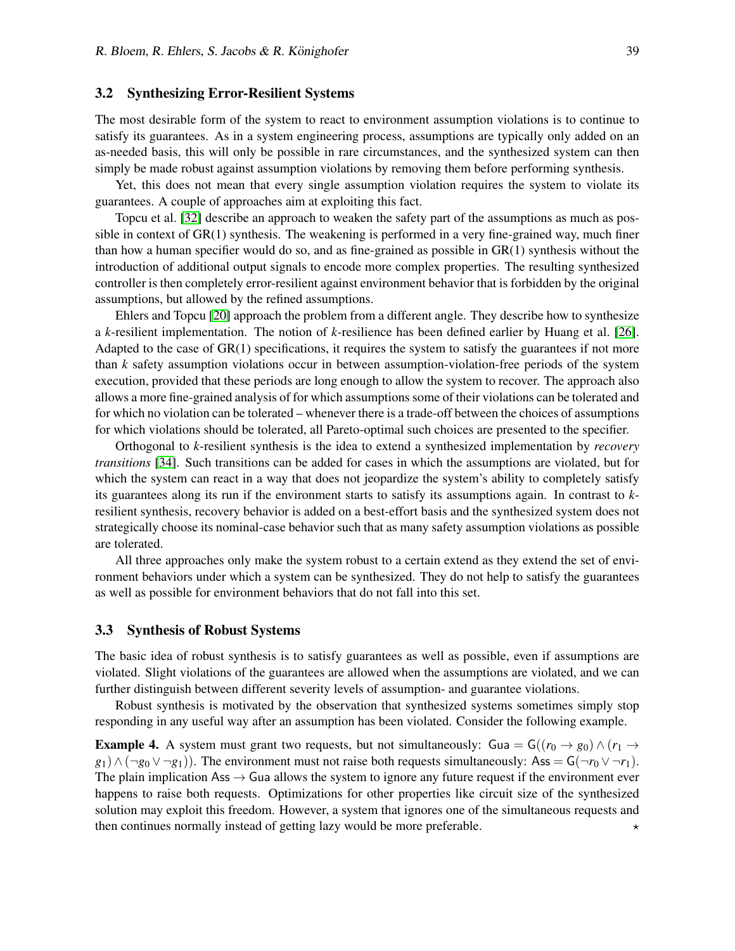#### <span id="page-5-0"></span>3.2 Synthesizing Error-Resilient Systems

The most desirable form of the system to react to environment assumption violations is to continue to satisfy its guarantees. As in a system engineering process, assumptions are typically only added on an as-needed basis, this will only be possible in rare circumstances, and the synthesized system can then simply be made robust against assumption violations by removing them before performing synthesis.

Yet, this does not mean that every single assumption violation requires the system to violate its guarantees. A couple of approaches aim at exploiting this fact.

Topcu et al. [\[32\]](#page-16-2) describe an approach to weaken the safety part of the assumptions as much as possible in context of GR(1) synthesis. The weakening is performed in a very fine-grained way, much finer than how a human specifier would do so, and as fine-grained as possible in GR(1) synthesis without the introduction of additional output signals to encode more complex properties. The resulting synthesized controller is then completely error-resilient against environment behavior that is forbidden by the original assumptions, but allowed by the refined assumptions.

Ehlers and Topcu [\[20\]](#page-16-4) approach the problem from a different angle. They describe how to synthesize a *k*-resilient implementation. The notion of *k*-resilience has been defined earlier by Huang et al. [\[26\]](#page-16-5). Adapted to the case of  $GR(1)$  specifications, it requires the system to satisfy the guarantees if not more than *k* safety assumption violations occur in between assumption-violation-free periods of the system execution, provided that these periods are long enough to allow the system to recover. The approach also allows a more fine-grained analysis of for which assumptions some of their violations can be tolerated and for which no violation can be tolerated – whenever there is a trade-off between the choices of assumptions for which violations should be tolerated, all Pareto-optimal such choices are presented to the specifier.

Orthogonal to *k*-resilient synthesis is the idea to extend a synthesized implementation by *recovery transitions* [\[34\]](#page-16-6). Such transitions can be added for cases in which the assumptions are violated, but for which the system can react in a way that does not jeopardize the system's ability to completely satisfy its guarantees along its run if the environment starts to satisfy its assumptions again. In contrast to *k*resilient synthesis, recovery behavior is added on a best-effort basis and the synthesized system does not strategically choose its nominal-case behavior such that as many safety assumption violations as possible are tolerated.

All three approaches only make the system robust to a certain extend as they extend the set of environment behaviors under which a system can be synthesized. They do not help to satisfy the guarantees as well as possible for environment behaviors that do not fall into this set.

#### <span id="page-5-1"></span>3.3 Synthesis of Robust Systems

The basic idea of robust synthesis is to satisfy guarantees as well as possible, even if assumptions are violated. Slight violations of the guarantees are allowed when the assumptions are violated, and we can further distinguish between different severity levels of assumption- and guarantee violations.

Robust synthesis is motivated by the observation that synthesized systems sometimes simply stop responding in any useful way after an assumption has been violated. Consider the following example.

<span id="page-5-2"></span>**Example 4.** A system must grant two requests, but not simultaneously: Gua = G( $(r_0 \rightarrow g_0) \land (r_1 \rightarrow g_1)$  $g_1$ ) ∧ (¬*g*<sub>0</sub> ∨ ¬*g*<sub>1</sub>)). The environment must not raise both requests simultaneously: Ass = G(¬*r*<sub>0</sub> ∨ ¬*r*<sub>1</sub>). The plain implication Ass  $\rightarrow$  Gua allows the system to ignore any future request if the environment ever happens to raise both requests. Optimizations for other properties like circuit size of the synthesized solution may exploit this freedom. However, a system that ignores one of the simultaneous requests and then continues normally instead of getting lazy would be more preferable.  $\star$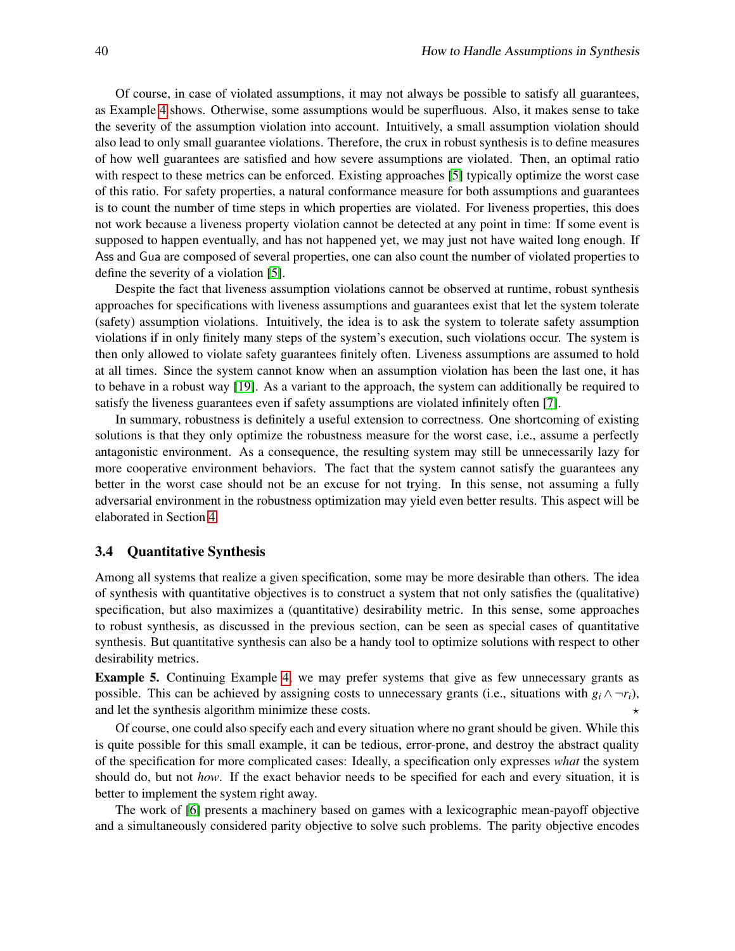Of course, in case of violated assumptions, it may not always be possible to satisfy all guarantees, as Example [4](#page-5-2) shows. Otherwise, some assumptions would be superfluous. Also, it makes sense to take the severity of the assumption violation into account. Intuitively, a small assumption violation should also lead to only small guarantee violations. Therefore, the crux in robust synthesis is to define measures of how well guarantees are satisfied and how severe assumptions are violated. Then, an optimal ratio with respect to these metrics can be enforced. Existing approaches [\[5\]](#page-15-2) typically optimize the worst case of this ratio. For safety properties, a natural conformance measure for both assumptions and guarantees is to count the number of time steps in which properties are violated. For liveness properties, this does not work because a liveness property violation cannot be detected at any point in time: If some event is supposed to happen eventually, and has not happened yet, we may just not have waited long enough. If Ass and Gua are composed of several properties, one can also count the number of violated properties to define the severity of a violation [\[5\]](#page-15-2).

Despite the fact that liveness assumption violations cannot be observed at runtime, robust synthesis approaches for specifications with liveness assumptions and guarantees exist that let the system tolerate (safety) assumption violations. Intuitively, the idea is to ask the system to tolerate safety assumption violations if in only finitely many steps of the system's execution, such violations occur. The system is then only allowed to violate safety guarantees finitely often. Liveness assumptions are assumed to hold at all times. Since the system cannot know when an assumption violation has been the last one, it has to behave in a robust way [\[19\]](#page-15-3). As a variant to the approach, the system can additionally be required to satisfy the liveness guarantees even if safety assumptions are violated infinitely often [\[7\]](#page-15-4).

In summary, robustness is definitely a useful extension to correctness. One shortcoming of existing solutions is that they only optimize the robustness measure for the worst case, i.e., assume a perfectly antagonistic environment. As a consequence, the resulting system may still be unnecessarily lazy for more cooperative environment behaviors. The fact that the system cannot satisfy the guarantees any better in the worst case should not be an excuse for not trying. In this sense, not assuming a fully adversarial environment in the robustness optimization may yield even better results. This aspect will be elaborated in Section [4.](#page-7-0)

#### <span id="page-6-0"></span>3.4 Quantitative Synthesis

Among all systems that realize a given specification, some may be more desirable than others. The idea of synthesis with quantitative objectives is to construct a system that not only satisfies the (qualitative) specification, but also maximizes a (quantitative) desirability metric. In this sense, some approaches to robust synthesis, as discussed in the previous section, can be seen as special cases of quantitative synthesis. But quantitative synthesis can also be a handy tool to optimize solutions with respect to other desirability metrics.

Example 5. Continuing Example [4,](#page-5-2) we may prefer systems that give as few unnecessary grants as possible. This can be achieved by assigning costs to unnecessary grants (i.e., situations with  $g_i \wedge \neg r_i$ ), and let the synthesis algorithm minimize these costs.  $\star$ 

Of course, one could also specify each and every situation where no grant should be given. While this is quite possible for this small example, it can be tedious, error-prone, and destroy the abstract quality of the specification for more complicated cases: Ideally, a specification only expresses *what* the system should do, but not *how*. If the exact behavior needs to be specified for each and every situation, it is better to implement the system right away.

The work of [\[6\]](#page-15-5) presents a machinery based on games with a lexicographic mean-payoff objective and a simultaneously considered parity objective to solve such problems. The parity objective encodes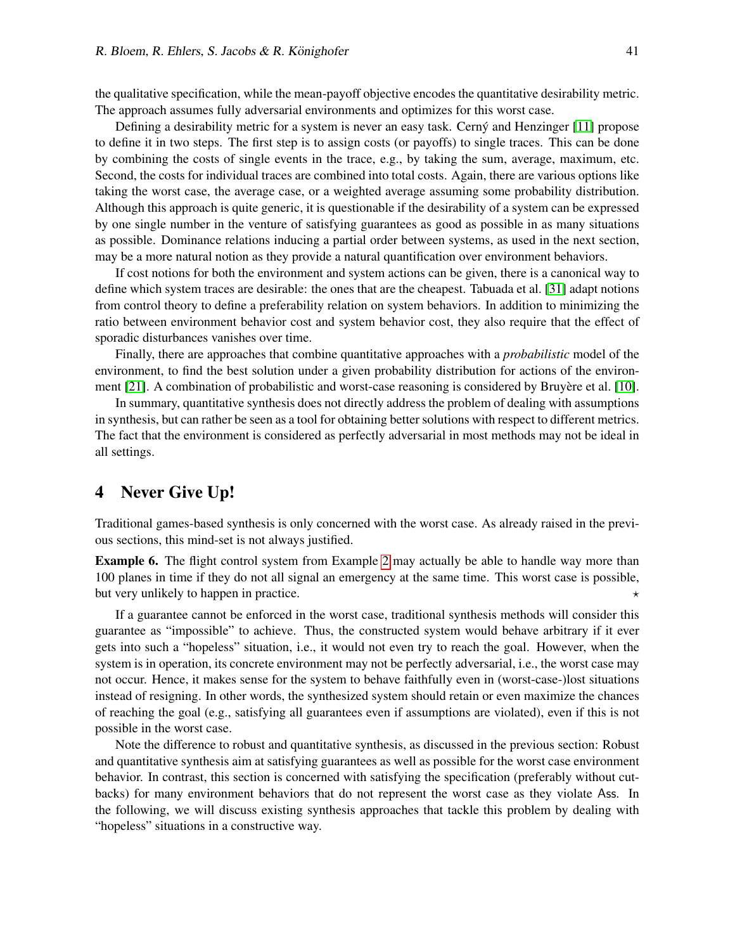the qualitative specification, while the mean-payoff objective encodes the quantitative desirability metric. The approach assumes fully adversarial environments and optimizes for this worst case.

Defining a desirability metric for a system is never an easy task. Cerny and Henzinger [\[11\]](#page-15-6) propose to define it in two steps. The first step is to assign costs (or payoffs) to single traces. This can be done by combining the costs of single events in the trace, e.g., by taking the sum, average, maximum, etc. Second, the costs for individual traces are combined into total costs. Again, there are various options like taking the worst case, the average case, or a weighted average assuming some probability distribution. Although this approach is quite generic, it is questionable if the desirability of a system can be expressed by one single number in the venture of satisfying guarantees as good as possible in as many situations as possible. Dominance relations inducing a partial order between systems, as used in the next section, may be a more natural notion as they provide a natural quantification over environment behaviors.

If cost notions for both the environment and system actions can be given, there is a canonical way to define which system traces are desirable: the ones that are the cheapest. Tabuada et al. [\[31\]](#page-16-7) adapt notions from control theory to define a preferability relation on system behaviors. In addition to minimizing the ratio between environment behavior cost and system behavior cost, they also require that the effect of sporadic disturbances vanishes over time.

Finally, there are approaches that combine quantitative approaches with a *probabilistic* model of the environment, to find the best solution under a given probability distribution for actions of the environ-ment [\[21\]](#page-16-8). A combination of probabilistic and worst-case reasoning is considered by Bruyere et al. [\[10\]](#page-15-7).

In summary, quantitative synthesis does not directly address the problem of dealing with assumptions in synthesis, but can rather be seen as a tool for obtaining better solutions with respect to different metrics. The fact that the environment is considered as perfectly adversarial in most methods may not be ideal in all settings.

# <span id="page-7-0"></span>4 Never Give Up!

Traditional games-based synthesis is only concerned with the worst case. As already raised in the previous sections, this mind-set is not always justified.

Example 6. The flight control system from Example [2](#page-2-3) may actually be able to handle way more than 100 planes in time if they do not all signal an emergency at the same time. This worst case is possible, but very unlikely to happen in practice.

If a guarantee cannot be enforced in the worst case, traditional synthesis methods will consider this guarantee as "impossible" to achieve. Thus, the constructed system would behave arbitrary if it ever gets into such a "hopeless" situation, i.e., it would not even try to reach the goal. However, when the system is in operation, its concrete environment may not be perfectly adversarial, i.e., the worst case may not occur. Hence, it makes sense for the system to behave faithfully even in (worst-case-)lost situations instead of resigning. In other words, the synthesized system should retain or even maximize the chances of reaching the goal (e.g., satisfying all guarantees even if assumptions are violated), even if this is not possible in the worst case.

Note the difference to robust and quantitative synthesis, as discussed in the previous section: Robust and quantitative synthesis aim at satisfying guarantees as well as possible for the worst case environment behavior. In contrast, this section is concerned with satisfying the specification (preferably without cutbacks) for many environment behaviors that do not represent the worst case as they violate Ass. In the following, we will discuss existing synthesis approaches that tackle this problem by dealing with "hopeless" situations in a constructive way.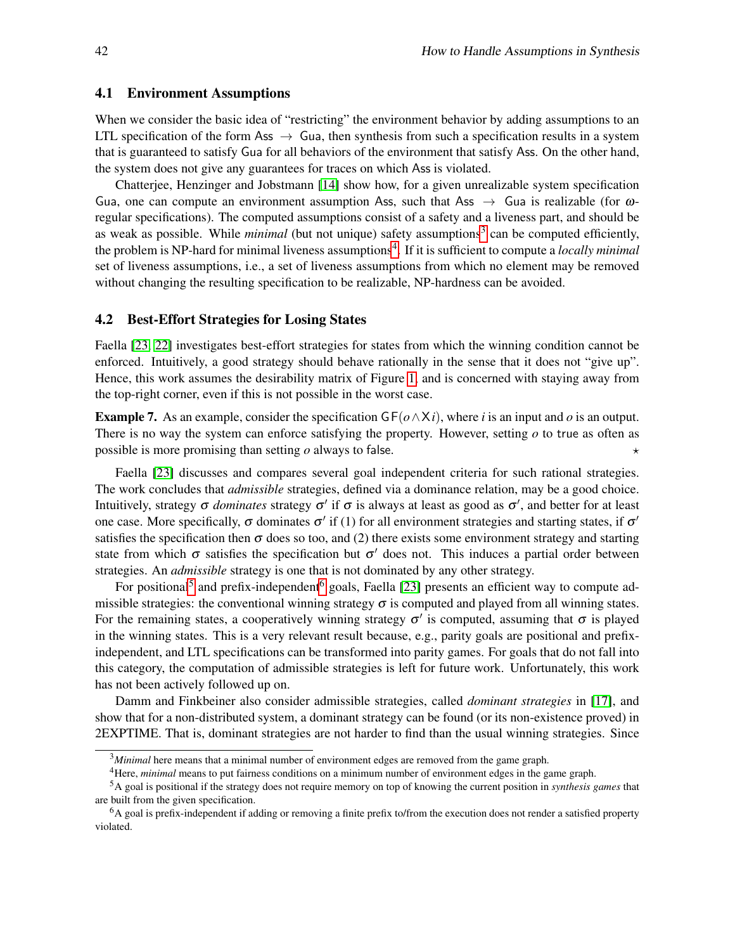#### <span id="page-8-4"></span>4.1 Environment Assumptions

When we consider the basic idea of "restricting" the environment behavior by adding assumptions to an LTL specification of the form Ass  $\rightarrow$  Gua, then synthesis from such a specification results in a system that is guaranteed to satisfy Gua for all behaviors of the environment that satisfy Ass. On the other hand, the system does not give any guarantees for traces on which Ass is violated.

Chatterjee, Henzinger and Jobstmann [\[14\]](#page-15-8) show how, for a given unrealizable system specification Gua, one can compute an environment assumption Ass, such that Ass  $\rightarrow$  Gua is realizable (for  $\omega$ regular specifications). The computed assumptions consist of a safety and a liveness part, and should be as weak as possible. While *minimal* (but not unique) safety assumptions<sup>[3](#page-8-0)</sup> can be computed efficiently, the problem is NP-hard for minimal liveness assumptions<sup>[4](#page-8-1)</sup>. If it is sufficient to compute a *locally minimal* set of liveness assumptions, i.e., a set of liveness assumptions from which no element may be removed without changing the resulting specification to be realizable, NP-hardness can be avoided.

#### <span id="page-8-5"></span>4.2 Best-Effort Strategies for Losing States

Faella [\[23,](#page-16-9) [22\]](#page-16-10) investigates best-effort strategies for states from which the winning condition cannot be enforced. Intuitively, a good strategy should behave rationally in the sense that it does not "give up". Hence, this work assumes the desirability matrix of Figure [1,](#page-2-1) and is concerned with staying away from the top-right corner, even if this is not possible in the worst case.

**Example 7.** As an example, consider the specification  $GF(\phi \wedge X_i)$ , where *i* is an input and  $\phi$  is an output. There is no way the system can enforce satisfying the property. However, setting *o* to true as often as possible is more promising than setting  $\rho$  always to false.

Faella [\[23\]](#page-16-9) discusses and compares several goal independent criteria for such rational strategies. The work concludes that *admissible* strategies, defined via a dominance relation, may be a good choice. Intuitively, strategy  $\sigma$  *dominates* strategy  $\sigma'$  if  $\sigma$  is always at least as good as  $\sigma'$ , and better for at least one case. More specifically,  $\sigma$  dominates  $\sigma'$  if (1) for all environment strategies and starting states, if  $\sigma'$ satisfies the specification then  $\sigma$  does so too, and (2) there exists some environment strategy and starting state from which  $\sigma$  satisfies the specification but  $\sigma'$  does not. This induces a partial order between strategies. An *admissible* strategy is one that is not dominated by any other strategy.

For positional<sup>[5](#page-8-2)</sup> and prefix-independent<sup>[6](#page-8-3)</sup> goals, Faella [\[23\]](#page-16-9) presents an efficient way to compute admissible strategies: the conventional winning strategy  $\sigma$  is computed and played from all winning states. For the remaining states, a cooperatively winning strategy  $\sigma'$  is computed, assuming that  $\sigma$  is played in the winning states. This is a very relevant result because, e.g., parity goals are positional and prefixindependent, and LTL specifications can be transformed into parity games. For goals that do not fall into this category, the computation of admissible strategies is left for future work. Unfortunately, this work has not been actively followed up on.

Damm and Finkbeiner also consider admissible strategies, called *dominant strategies* in [\[17\]](#page-15-9), and show that for a non-distributed system, a dominant strategy can be found (or its non-existence proved) in 2EXPTIME. That is, dominant strategies are not harder to find than the usual winning strategies. Since

<span id="page-8-0"></span><sup>3</sup>*Minimal* here means that a minimal number of environment edges are removed from the game graph.

<span id="page-8-2"></span><span id="page-8-1"></span><sup>4</sup>Here, *minimal* means to put fairness conditions on a minimum number of environment edges in the game graph.

<sup>5</sup>A goal is positional if the strategy does not require memory on top of knowing the current position in *synthesis games* that are built from the given specification.

<span id="page-8-3"></span><sup>&</sup>lt;sup>6</sup>A goal is prefix-independent if adding or removing a finite prefix to/from the execution does not render a satisfied property violated.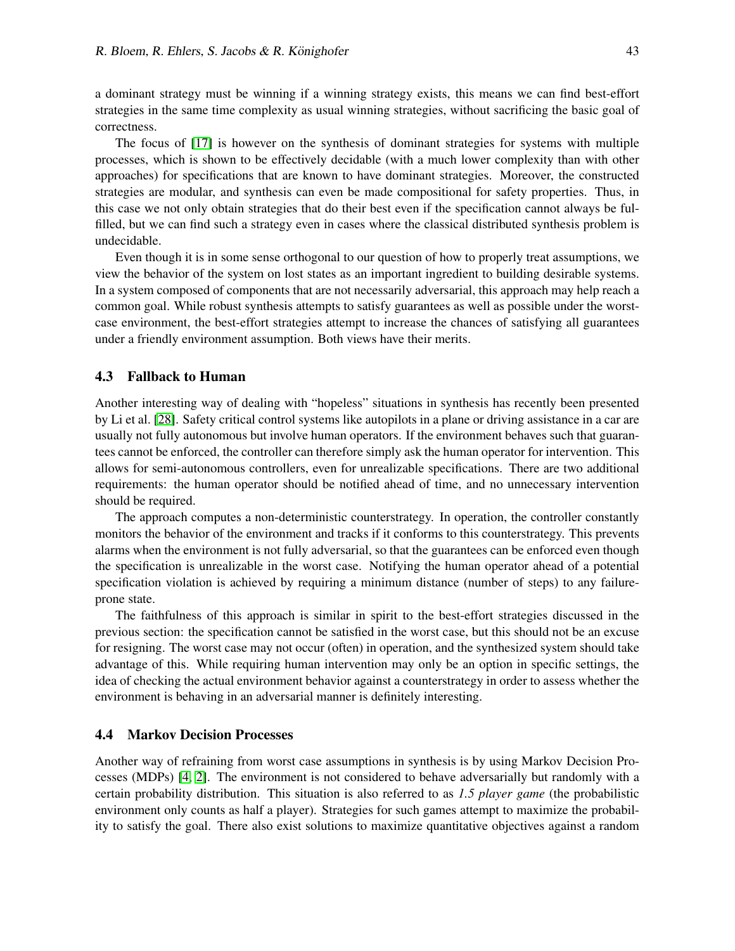a dominant strategy must be winning if a winning strategy exists, this means we can find best-effort strategies in the same time complexity as usual winning strategies, without sacrificing the basic goal of correctness.

The focus of [\[17\]](#page-15-9) is however on the synthesis of dominant strategies for systems with multiple processes, which is shown to be effectively decidable (with a much lower complexity than with other approaches) for specifications that are known to have dominant strategies. Moreover, the constructed strategies are modular, and synthesis can even be made compositional for safety properties. Thus, in this case we not only obtain strategies that do their best even if the specification cannot always be fulfilled, but we can find such a strategy even in cases where the classical distributed synthesis problem is undecidable.

Even though it is in some sense orthogonal to our question of how to properly treat assumptions, we view the behavior of the system on lost states as an important ingredient to building desirable systems. In a system composed of components that are not necessarily adversarial, this approach may help reach a common goal. While robust synthesis attempts to satisfy guarantees as well as possible under the worstcase environment, the best-effort strategies attempt to increase the chances of satisfying all guarantees under a friendly environment assumption. Both views have their merits.

#### <span id="page-9-0"></span>4.3 Fallback to Human

Another interesting way of dealing with "hopeless" situations in synthesis has recently been presented by Li et al. [\[28\]](#page-16-11). Safety critical control systems like autopilots in a plane or driving assistance in a car are usually not fully autonomous but involve human operators. If the environment behaves such that guarantees cannot be enforced, the controller can therefore simply ask the human operator for intervention. This allows for semi-autonomous controllers, even for unrealizable specifications. There are two additional requirements: the human operator should be notified ahead of time, and no unnecessary intervention should be required.

The approach computes a non-deterministic counterstrategy. In operation, the controller constantly monitors the behavior of the environment and tracks if it conforms to this counterstrategy. This prevents alarms when the environment is not fully adversarial, so that the guarantees can be enforced even though the specification is unrealizable in the worst case. Notifying the human operator ahead of a potential specification violation is achieved by requiring a minimum distance (number of steps) to any failureprone state.

The faithfulness of this approach is similar in spirit to the best-effort strategies discussed in the previous section: the specification cannot be satisfied in the worst case, but this should not be an excuse for resigning. The worst case may not occur (often) in operation, and the synthesized system should take advantage of this. While requiring human intervention may only be an option in specific settings, the idea of checking the actual environment behavior against a counterstrategy in order to assess whether the environment is behaving in an adversarial manner is definitely interesting.

#### <span id="page-9-1"></span>4.4 Markov Decision Processes

Another way of refraining from worst case assumptions in synthesis is by using Markov Decision Processes (MDPs) [\[4,](#page-15-10) [2\]](#page-14-1). The environment is not considered to behave adversarially but randomly with a certain probability distribution. This situation is also referred to as *1.5 player game* (the probabilistic environment only counts as half a player). Strategies for such games attempt to maximize the probability to satisfy the goal. There also exist solutions to maximize quantitative objectives against a random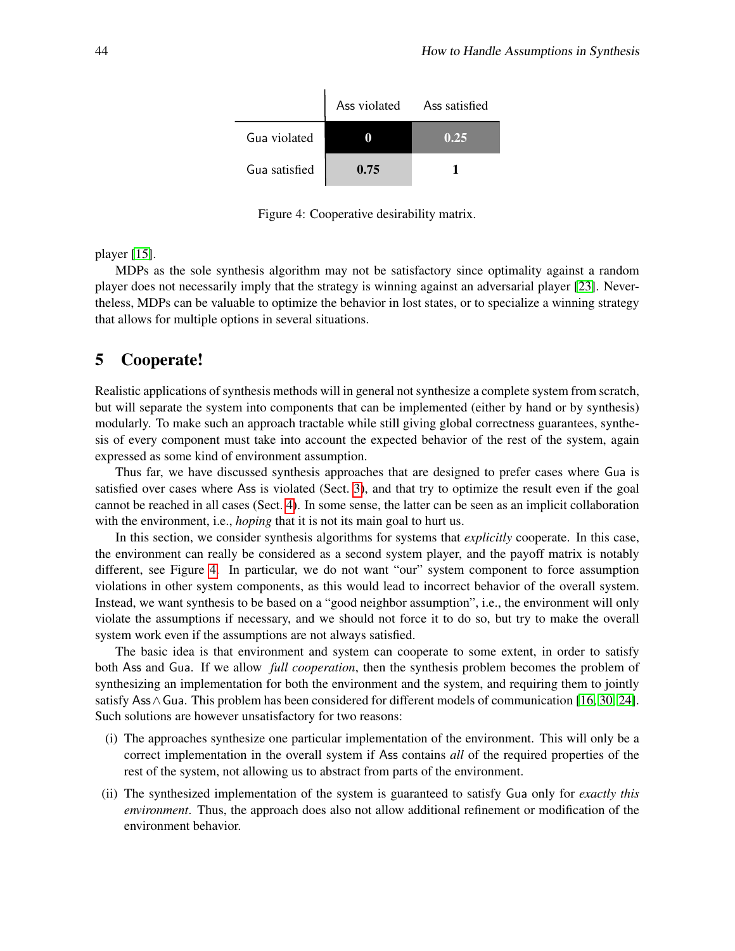

<span id="page-10-1"></span>Figure 4: Cooperative desirability matrix.

player [\[15\]](#page-15-11).

MDPs as the sole synthesis algorithm may not be satisfactory since optimality against a random player does not necessarily imply that the strategy is winning against an adversarial player [\[23\]](#page-16-9). Nevertheless, MDPs can be valuable to optimize the behavior in lost states, or to specialize a winning strategy that allows for multiple options in several situations.

# <span id="page-10-0"></span>5 Cooperate!

Realistic applications of synthesis methods will in general not synthesize a complete system from scratch, but will separate the system into components that can be implemented (either by hand or by synthesis) modularly. To make such an approach tractable while still giving global correctness guarantees, synthesis of every component must take into account the expected behavior of the rest of the system, again expressed as some kind of environment assumption.

Thus far, we have discussed synthesis approaches that are designed to prefer cases where Gua is satisfied over cases where Ass is violated (Sect. [3\)](#page-2-0), and that try to optimize the result even if the goal cannot be reached in all cases (Sect. [4\)](#page-7-0). In some sense, the latter can be seen as an implicit collaboration with the environment, i.e., *hoping* that it is not its main goal to hurt us.

In this section, we consider synthesis algorithms for systems that *explicitly* cooperate. In this case, the environment can really be considered as a second system player, and the payoff matrix is notably different, see Figure [4.](#page-10-1) In particular, we do not want "our" system component to force assumption violations in other system components, as this would lead to incorrect behavior of the overall system. Instead, we want synthesis to be based on a "good neighbor assumption", i.e., the environment will only violate the assumptions if necessary, and we should not force it to do so, but try to make the overall system work even if the assumptions are not always satisfied.

The basic idea is that environment and system can cooperate to some extent, in order to satisfy both Ass and Gua. If we allow *full cooperation*, then the synthesis problem becomes the problem of synthesizing an implementation for both the environment and the system, and requiring them to jointly satisfy Ass∧Gua. This problem has been considered for different models of communication [\[16,](#page-15-12) [30,](#page-16-12) [24\]](#page-16-13). Such solutions are however unsatisfactory for two reasons:

- (i) The approaches synthesize one particular implementation of the environment. This will only be a correct implementation in the overall system if Ass contains *all* of the required properties of the rest of the system, not allowing us to abstract from parts of the environment.
- (ii) The synthesized implementation of the system is guaranteed to satisfy Gua only for *exactly this environment*. Thus, the approach does also not allow additional refinement or modification of the environment behavior.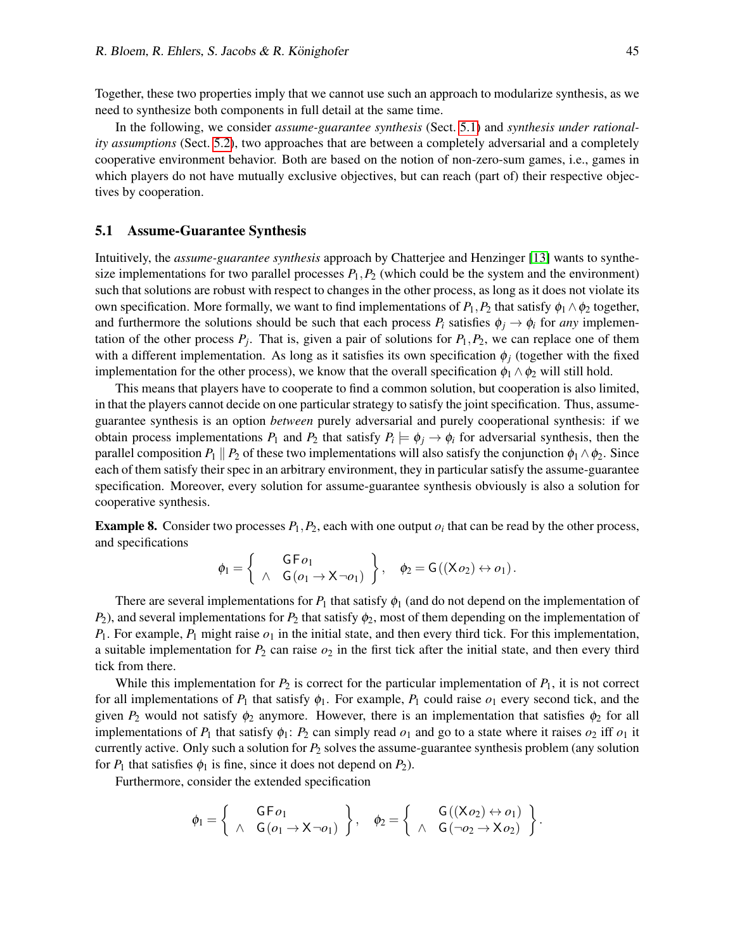Together, these two properties imply that we cannot use such an approach to modularize synthesis, as we need to synthesize both components in full detail at the same time.

In the following, we consider *assume-guarantee synthesis* (Sect. [5.1\)](#page-11-0) and *synthesis under rationality assumptions* (Sect. [5.2\)](#page-12-0), two approaches that are between a completely adversarial and a completely cooperative environment behavior. Both are based on the notion of non-zero-sum games, i.e., games in which players do not have mutually exclusive objectives, but can reach (part of) their respective objectives by cooperation.

#### <span id="page-11-0"></span>5.1 Assume-Guarantee Synthesis

Intuitively, the *assume-guarantee synthesis* approach by Chatterjee and Henzinger [\[13\]](#page-15-13) wants to synthesize implementations for two parallel processes  $P_1$ ,  $P_2$  (which could be the system and the environment) such that solutions are robust with respect to changes in the other process, as long as it does not violate its own specification. More formally, we want to find implementations of  $P_1$ ,  $P_2$  that satisfy  $\phi_1 \wedge \phi_2$  together, and furthermore the solutions should be such that each process  $P_i$  satisfies  $\phi_i \to \phi_i$  for *any* implementation of the other process  $P_j$ . That is, given a pair of solutions for  $P_1, P_2$ , we can replace one of them with a different implementation. As long as it satisfies its own specification  $\phi_i$  (together with the fixed implementation for the other process), we know that the overall specification  $\phi_1 \wedge \phi_2$  will still hold.

This means that players have to cooperate to find a common solution, but cooperation is also limited, in that the players cannot decide on one particular strategy to satisfy the joint specification. Thus, assumeguarantee synthesis is an option *between* purely adversarial and purely cooperational synthesis: if we obtain process implementations  $P_1$  and  $P_2$  that satisfy  $P_i \models \phi_j \to \phi_i$  for adversarial synthesis, then the parallel composition  $P_1 \parallel P_2$  of these two implementations will also satisfy the conjunction  $\phi_1 \wedge \phi_2$ . Since each of them satisfy their spec in an arbitrary environment, they in particular satisfy the assume-guarantee specification. Moreover, every solution for assume-guarantee synthesis obviously is also a solution for cooperative synthesis.

**Example 8.** Consider two processes  $P_1$ ,  $P_2$ , each with one output  $o_i$  that can be read by the other process, and specifications

$$
\phi_1 = \left\{ \begin{array}{cc} \mathsf{G} \, \mathsf{F} \, o_1 \\ \wedge \quad \mathsf{G} \, (o_1 \to \mathsf{X} \, \neg o_1) \end{array} \right\}, \quad \phi_2 = \mathsf{G} \, ((\mathsf{X} \, o_2) \leftrightarrow o_1).
$$

There are several implementations for  $P_1$  that satisfy  $\phi_1$  (and do not depend on the implementation of *P*<sub>2</sub>), and several implementations for *P*<sub>2</sub> that satisfy  $\phi_2$ , most of them depending on the implementation of  $P_1$ . For example,  $P_1$  might raise  $o_1$  in the initial state, and then every third tick. For this implementation, a suitable implementation for  $P_2$  can raise  $o_2$  in the first tick after the initial state, and then every third tick from there.

While this implementation for  $P_2$  is correct for the particular implementation of  $P_1$ , it is not correct for all implementations of  $P_1$  that satisfy  $\phi_1$ . For example,  $P_1$  could raise  $o_1$  every second tick, and the given  $P_2$  would not satisfy  $\phi_2$  anymore. However, there is an implementation that satisfies  $\phi_2$  for all implementations of  $P_1$  that satisfy  $\phi_1$ :  $P_2$  can simply read  $o_1$  and go to a state where it raises  $o_2$  iff  $o_1$  it currently active. Only such a solution for *P*<sup>2</sup> solves the assume-guarantee synthesis problem (any solution for  $P_1$  that satisfies  $\phi_1$  is fine, since it does not depend on  $P_2$ ).

Furthermore, consider the extended specification

$$
\phi_1 = \left\{ \begin{array}{cc} \mathsf{G} \,\mathsf{F}\, o_1 & \\ \wedge & \mathsf{G}\, (o_1 \rightarrow \mathsf{X} \neg o_1) \end{array} \right\}, \quad \phi_2 = \left\{ \begin{array}{cc} \mathsf{G}\, ((\mathsf{X}\, o_2) \leftrightarrow o_1) \\ \wedge & \mathsf{G}\, (\neg o_2 \rightarrow \mathsf{X}\, o_2) \end{array} \right\}.
$$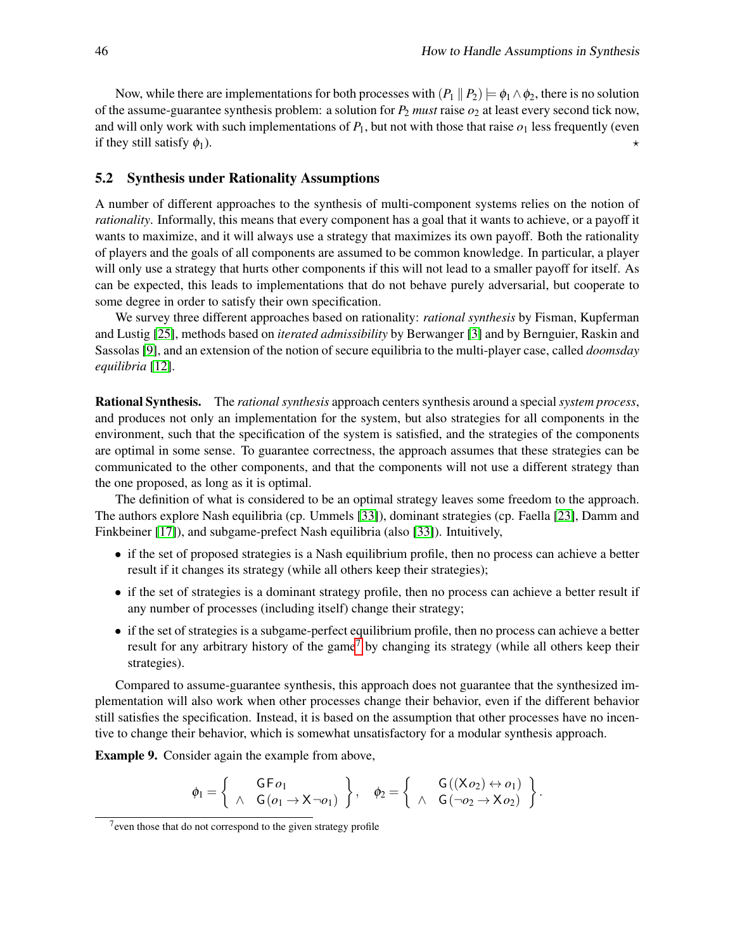Now, while there are implementations for both processes with  $(P_1 || P_2) \models \phi_1 \land \phi_2$ , there is no solution of the assume-guarantee synthesis problem: a solution for  $P_2$  *must* raise  $o_2$  at least every second tick now, and will only work with such implementations of  $P_1$ , but not with those that raise  $o_1$  less frequently (even if they still satisfy  $\phi_1$ ).

### <span id="page-12-0"></span>5.2 Synthesis under Rationality Assumptions

A number of different approaches to the synthesis of multi-component systems relies on the notion of *rationality*. Informally, this means that every component has a goal that it wants to achieve, or a payoff it wants to maximize, and it will always use a strategy that maximizes its own payoff. Both the rationality of players and the goals of all components are assumed to be common knowledge. In particular, a player will only use a strategy that hurts other components if this will not lead to a smaller payoff for itself. As can be expected, this leads to implementations that do not behave purely adversarial, but cooperate to some degree in order to satisfy their own specification.

We survey three different approaches based on rationality: *rational synthesis* by Fisman, Kupferman and Lustig [\[25\]](#page-16-14), methods based on *iterated admissibility* by Berwanger [\[3\]](#page-15-14) and by Bernguier, Raskin and Sassolas [\[9\]](#page-15-15), and an extension of the notion of secure equilibria to the multi-player case, called *doomsday equilibria* [\[12\]](#page-15-16).

Rational Synthesis. The *rational synthesis* approach centers synthesis around a special *system process*, and produces not only an implementation for the system, but also strategies for all components in the environment, such that the specification of the system is satisfied, and the strategies of the components are optimal in some sense. To guarantee correctness, the approach assumes that these strategies can be communicated to the other components, and that the components will not use a different strategy than the one proposed, as long as it is optimal.

The definition of what is considered to be an optimal strategy leaves some freedom to the approach. The authors explore Nash equilibria (cp. Ummels [\[33\]](#page-16-15)), dominant strategies (cp. Faella [\[23\]](#page-16-9), Damm and Finkbeiner [\[17\]](#page-15-9)), and subgame-prefect Nash equilibria (also [\[33\]](#page-16-15)). Intuitively,

- if the set of proposed strategies is a Nash equilibrium profile, then no process can achieve a better result if it changes its strategy (while all others keep their strategies);
- if the set of strategies is a dominant strategy profile, then no process can achieve a better result if any number of processes (including itself) change their strategy;
- if the set of strategies is a subgame-perfect equilibrium profile, then no process can achieve a better result for any arbitrary history of the game<sup>[7](#page-12-1)</sup> by changing its strategy (while all others keep their strategies).

Compared to assume-guarantee synthesis, this approach does not guarantee that the synthesized implementation will also work when other processes change their behavior, even if the different behavior still satisfies the specification. Instead, it is based on the assumption that other processes have no incentive to change their behavior, which is somewhat unsatisfactory for a modular synthesis approach.

Example 9. Consider again the example from above,

$$
\phi_1 = \left\{ \begin{array}{c} \mathsf{G} \, \mathsf{F} \, o_1 \\ \wedge \quad \mathsf{G} \, (o_1 \rightarrow \mathsf{X} \, \neg o_1) \end{array} \right\}, \quad \phi_2 = \left\{ \begin{array}{c} \mathsf{G} \, ((\mathsf{X} \, o_2) \leftrightarrow o_1) \\ \wedge \quad \mathsf{G} \, (\neg o_2 \rightarrow \mathsf{X} \, o_2) \end{array} \right\}.
$$

<span id="page-12-1"></span> $7$  even those that do not correspond to the given strategy profile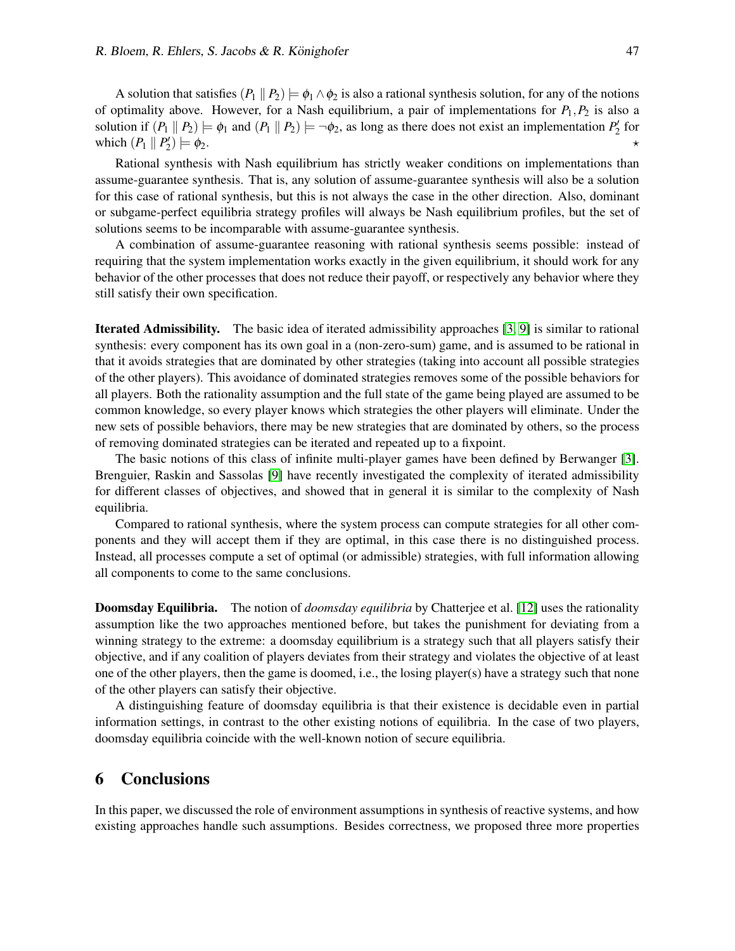A solution that satisfies  $(P_1 || P_2) \models \phi_1 \land \phi_2$  is also a rational synthesis solution, for any of the notions of optimality above. However, for a Nash equilibrium, a pair of implementations for  $P_1, P_2$  is also a solution if  $(P_1 \parallel P_2) \models \phi_1$  and  $(P_1 \parallel P_2) \models \neg \phi_2$ , as long as there does not exist an implementation  $P'_2$  for which  $(P_1 \parallel P_2)$  $) \models \phi_2.$ 

Rational synthesis with Nash equilibrium has strictly weaker conditions on implementations than assume-guarantee synthesis. That is, any solution of assume-guarantee synthesis will also be a solution for this case of rational synthesis, but this is not always the case in the other direction. Also, dominant or subgame-perfect equilibria strategy profiles will always be Nash equilibrium profiles, but the set of solutions seems to be incomparable with assume-guarantee synthesis.

A combination of assume-guarantee reasoning with rational synthesis seems possible: instead of requiring that the system implementation works exactly in the given equilibrium, it should work for any behavior of the other processes that does not reduce their payoff, or respectively any behavior where they still satisfy their own specification.

Iterated Admissibility. The basic idea of iterated admissibility approaches [\[3,](#page-15-14) [9\]](#page-15-15) is similar to rational synthesis: every component has its own goal in a (non-zero-sum) game, and is assumed to be rational in that it avoids strategies that are dominated by other strategies (taking into account all possible strategies of the other players). This avoidance of dominated strategies removes some of the possible behaviors for all players. Both the rationality assumption and the full state of the game being played are assumed to be common knowledge, so every player knows which strategies the other players will eliminate. Under the new sets of possible behaviors, there may be new strategies that are dominated by others, so the process of removing dominated strategies can be iterated and repeated up to a fixpoint.

The basic notions of this class of infinite multi-player games have been defined by Berwanger [\[3\]](#page-15-14). Brenguier, Raskin and Sassolas [\[9\]](#page-15-15) have recently investigated the complexity of iterated admissibility for different classes of objectives, and showed that in general it is similar to the complexity of Nash equilibria.

Compared to rational synthesis, where the system process can compute strategies for all other components and they will accept them if they are optimal, in this case there is no distinguished process. Instead, all processes compute a set of optimal (or admissible) strategies, with full information allowing all components to come to the same conclusions.

<span id="page-13-1"></span>Doomsday Equilibria. The notion of *doomsday equilibria* by Chatterjee et al. [\[12\]](#page-15-16) uses the rationality assumption like the two approaches mentioned before, but takes the punishment for deviating from a winning strategy to the extreme: a doomsday equilibrium is a strategy such that all players satisfy their objective, and if any coalition of players deviates from their strategy and violates the objective of at least one of the other players, then the game is doomed, i.e., the losing player(s) have a strategy such that none of the other players can satisfy their objective.

A distinguishing feature of doomsday equilibria is that their existence is decidable even in partial information settings, in contrast to the other existing notions of equilibria. In the case of two players, doomsday equilibria coincide with the well-known notion of secure equilibria.

### <span id="page-13-0"></span>6 Conclusions

In this paper, we discussed the role of environment assumptions in synthesis of reactive systems, and how existing approaches handle such assumptions. Besides correctness, we proposed three more properties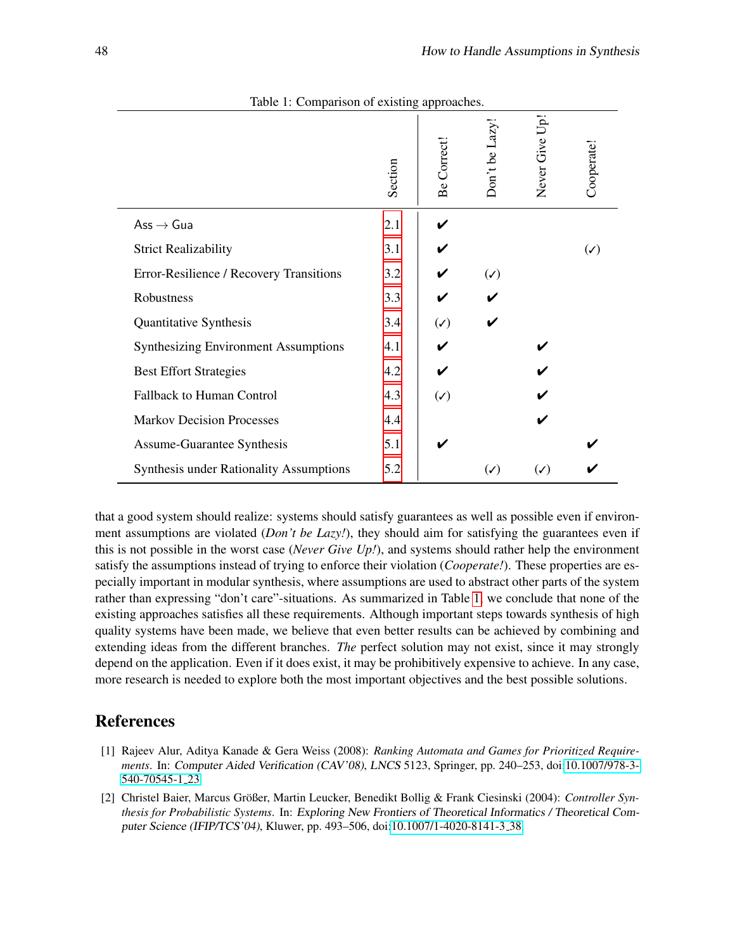|                                                | Section | Be Correct!    | Don't be Lazy  | <b>G</b> U <sub>p</sub><br>Never Give I | Cooperate!     |
|------------------------------------------------|---------|----------------|----------------|-----------------------------------------|----------------|
| $\mathsf{Ass}\,{\rightarrow}\, \mathsf{Gua}$   | 2.1     |                |                |                                         |                |
| <b>Strict Realizability</b>                    | 3.1     |                |                |                                         | $(\checkmark)$ |
| Error-Resilience / Recovery Transitions        | 3.2     |                | $(\checkmark)$ |                                         |                |
| Robustness                                     | 3.3     |                |                |                                         |                |
| Quantitative Synthesis                         | 3.4     | $(\checkmark)$ |                |                                         |                |
| <b>Synthesizing Environment Assumptions</b>    | 4.1     |                |                |                                         |                |
| <b>Best Effort Strategies</b>                  | 4.2     |                |                |                                         |                |
| Fallback to Human Control                      | 4.3     | $(\checkmark)$ |                |                                         |                |
| <b>Markov Decision Processes</b>               | 4.4     |                |                |                                         |                |
| Assume-Guarantee Synthesis                     | 5.1     |                |                |                                         |                |
| <b>Synthesis under Rationality Assumptions</b> | 5.2     |                | $(\checkmark)$ | $(\checkmark)$                          |                |

<span id="page-14-2"></span>Table 1: Comparison of existing approaches.

that a good system should realize: systems should satisfy guarantees as well as possible even if environment assumptions are violated (*Don't be Lazy!*), they should aim for satisfying the guarantees even if this is not possible in the worst case (*Never Give Up!*), and systems should rather help the environment satisfy the assumptions instead of trying to enforce their violation (*Cooperate!*). These properties are especially important in modular synthesis, where assumptions are used to abstract other parts of the system rather than expressing "don't care"-situations. As summarized in Table [1,](#page-14-2) we conclude that none of the existing approaches satisfies all these requirements. Although important steps towards synthesis of high quality systems have been made, we believe that even better results can be achieved by combining and extending ideas from the different branches. *The* perfect solution may not exist, since it may strongly depend on the application. Even if it does exist, it may be prohibitively expensive to achieve. In any case, more research is needed to explore both the most important objectives and the best possible solutions.

# References

- <span id="page-14-0"></span>[1] Rajeev Alur, Aditya Kanade & Gera Weiss (2008): *Ranking Automata and Games for Prioritized Requirements*. In: Computer Aided Verification (CAV'08), LNCS 5123, Springer, pp. 240–253, doi[:10.1007/978-3-](http://dx.doi.org/10.1007/978-3-540-70545-1_23) [540-70545-1](http://dx.doi.org/10.1007/978-3-540-70545-1_23) 23.
- <span id="page-14-1"></span>[2] Christel Baier, Marcus Großer, Martin Leucker, Benedikt Bollig & Frank Ciesinski (2004): ¨ *Controller Synthesis for Probabilistic Systems*. In: Exploring New Frontiers of Theoretical Informatics / Theoretical Computer Science (IFIP/TCS'04), Kluwer, pp. 493–506, doi[:10.1007/1-4020-8141-3](http://dx.doi.org/10.1007/1-4020-8141-3_38) 38.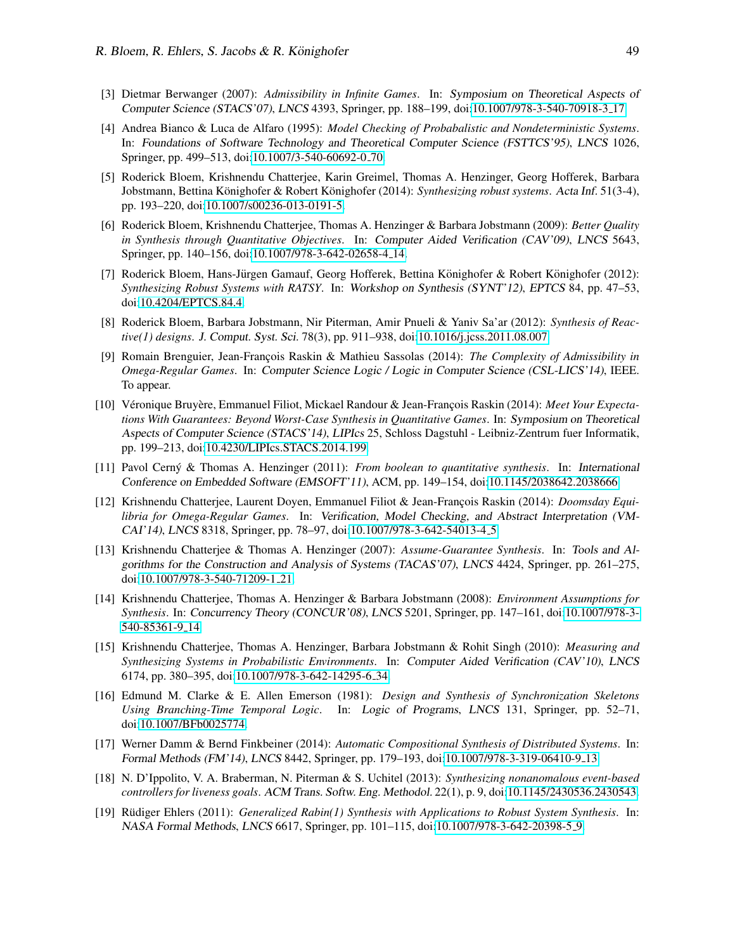- <span id="page-15-14"></span>[3] Dietmar Berwanger (2007): *Admissibility in Infinite Games*. In: Symposium on Theoretical Aspects of Computer Science (STACS'07), LNCS 4393, Springer, pp. 188–199, doi[:10.1007/978-3-540-70918-3](http://dx.doi.org/10.1007/978-3-540-70918-3_17) 17.
- <span id="page-15-10"></span>[4] Andrea Bianco & Luca de Alfaro (1995): *Model Checking of Probabalistic and Nondeterministic Systems*. In: Foundations of Software Technology and Theoretical Computer Science (FSTTCS'95), LNCS 1026, Springer, pp. 499–513, doi[:10.1007/3-540-60692-0](http://dx.doi.org/10.1007/3-540-60692-0_70) 70.
- <span id="page-15-2"></span>[5] Roderick Bloem, Krishnendu Chatterjee, Karin Greimel, Thomas A. Henzinger, Georg Hofferek, Barbara Jobstmann, Bettina Könighofer & Robert Könighofer (2014): Synthesizing robust systems. Acta Inf. 51(3-4), pp. 193–220, doi[:10.1007/s00236-013-0191-5.](http://dx.doi.org/10.1007/s00236-013-0191-5)
- <span id="page-15-5"></span>[6] Roderick Bloem, Krishnendu Chatterjee, Thomas A. Henzinger & Barbara Jobstmann (2009): *Better Quality in Synthesis through Quantitative Objectives*. In: Computer Aided Verification (CAV'09), LNCS 5643, Springer, pp. 140–156, doi[:10.1007/978-3-642-02658-4](http://dx.doi.org/10.1007/978-3-642-02658-4_14) 14.
- <span id="page-15-4"></span>[7] Roderick Bloem, Hans-Jürgen Gamauf, Georg Hofferek, Bettina Könighofer & Robert Könighofer (2012): *Synthesizing Robust Systems with RATSY*. In: Workshop on Synthesis (SYNT'12), EPTCS 84, pp. 47–53, doi[:10.4204/EPTCS.84.4.](http://dx.doi.org/10.4204/EPTCS.84.4)
- <span id="page-15-0"></span>[8] Roderick Bloem, Barbara Jobstmann, Nir Piterman, Amir Pnueli & Yaniv Sa'ar (2012): *Synthesis of Reactive(1) designs*. J. Comput. Syst. Sci. 78(3), pp. 911–938, doi[:10.1016/j.jcss.2011.08.007.](http://dx.doi.org/10.1016/j.jcss.2011.08.007)
- <span id="page-15-15"></span>[9] Romain Brenguier, Jean-François Raskin & Mathieu Sassolas (2014): *The Complexity of Admissibility in Omega-Regular Games*. In: Computer Science Logic / Logic in Computer Science (CSL-LICS'14), IEEE. To appear.
- <span id="page-15-7"></span>[10] Véronique Bruyère, Emmanuel Filiot, Mickael Randour & Jean-François Raskin (2014): *Meet Your Expectations With Guarantees: Beyond Worst-Case Synthesis in Quantitative Games*. In: Symposium on Theoretical Aspects of Computer Science (STACS'14), LIPIcs 25, Schloss Dagstuhl - Leibniz-Zentrum fuer Informatik, pp. 199–213, doi[:10.4230/LIPIcs.STACS.2014.199.](http://dx.doi.org/10.4230/LIPIcs.STACS.2014.199)
- <span id="page-15-6"></span>[11] Pavol Cerný & Thomas A. Henzinger (2011): *From boolean to quantitative synthesis*. In: International Conference on Embedded Software (EMSOFT'11), ACM, pp. 149–154, doi[:10.1145/2038642.2038666.](http://dx.doi.org/10.1145/2038642.2038666)
- <span id="page-15-16"></span>[12] Krishnendu Chatterjee, Laurent Doyen, Emmanuel Filiot & Jean-François Raskin (2014): *Doomsday Equilibria for Omega-Regular Games*. In: Verification, Model Checking, and Abstract Interpretation (VM-CAI'14), LNCS 8318, Springer, pp. 78–97, doi[:10.1007/978-3-642-54013-4](http://dx.doi.org/10.1007/978-3-642-54013-4_5) 5.
- <span id="page-15-13"></span>[13] Krishnendu Chatterjee & Thomas A. Henzinger (2007): *Assume-Guarantee Synthesis*. In: Tools and Algorithms for the Construction and Analysis of Systems (TACAS'07), LNCS 4424, Springer, pp. 261–275, doi[:10.1007/978-3-540-71209-1](http://dx.doi.org/10.1007/978-3-540-71209-1_21) 21.
- <span id="page-15-8"></span>[14] Krishnendu Chatterjee, Thomas A. Henzinger & Barbara Jobstmann (2008): *Environment Assumptions for Synthesis*. In: Concurrency Theory (CONCUR'08), LNCS 5201, Springer, pp. 147–161, doi[:10.1007/978-3-](http://dx.doi.org/10.1007/978-3-540-85361-9_14) [540-85361-9](http://dx.doi.org/10.1007/978-3-540-85361-9_14) 14.
- <span id="page-15-11"></span>[15] Krishnendu Chatterjee, Thomas A. Henzinger, Barbara Jobstmann & Rohit Singh (2010): *Measuring and Synthesizing Systems in Probabilistic Environments*. In: Computer Aided Verification (CAV'10), LNCS 6174, pp. 380–395, doi[:10.1007/978-3-642-14295-6](http://dx.doi.org/10.1007/978-3-642-14295-6_34) 34.
- <span id="page-15-12"></span>[16] Edmund M. Clarke & E. Allen Emerson (1981): *Design and Synthesis of Synchronization Skeletons Using Branching-Time Temporal Logic*. In: Logic of Programs, LNCS 131, Springer, pp. 52–71, doi[:10.1007/BFb0025774.](http://dx.doi.org/10.1007/BFb0025774)
- <span id="page-15-9"></span>[17] Werner Damm & Bernd Finkbeiner (2014): *Automatic Compositional Synthesis of Distributed Systems*. In: Formal Methods (FM'14), LNCS 8442, Springer, pp. 179–193, doi[:10.1007/978-3-319-06410-9](http://dx.doi.org/10.1007/978-3-319-06410-9_13) 13.
- <span id="page-15-1"></span>[18] N. D'Ippolito, V. A. Braberman, N. Piterman & S. Uchitel (2013): *Synthesizing nonanomalous event-based controllers for liveness goals*. ACM Trans. Softw. Eng. Methodol. 22(1), p. 9, doi[:10.1145/2430536.2430543.](http://dx.doi.org/10.1145/2430536.2430543)
- <span id="page-15-3"></span>[19] Rüdiger Ehlers (2011): *Generalized Rabin(1) Synthesis with Applications to Robust System Synthesis*. In: NASA Formal Methods, LNCS 6617, Springer, pp. 101–115, doi[:10.1007/978-3-642-20398-5](http://dx.doi.org/10.1007/978-3-642-20398-5_9) 9.